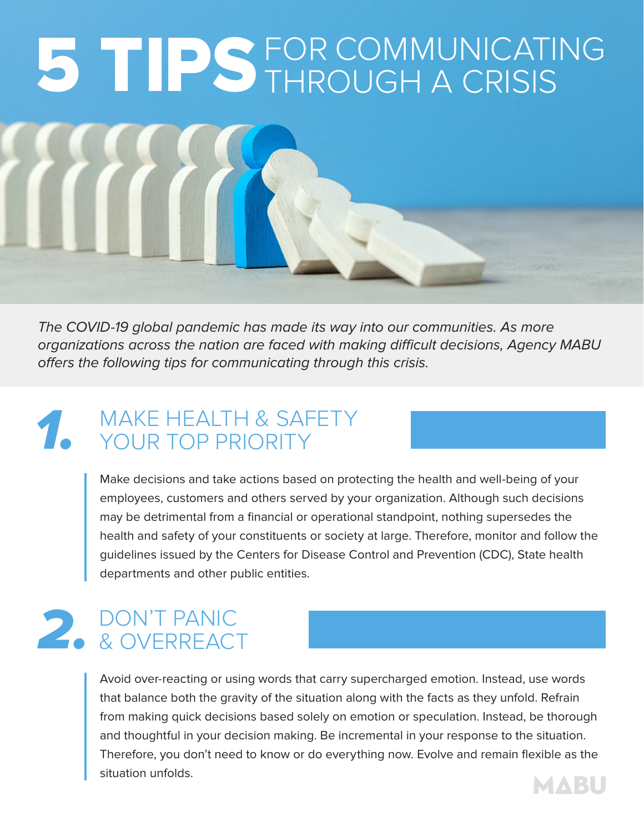# 5 TIPS FOR COMMUNICATING THROUGH A CRISIS

The COVID-19 global pandemic has made its way into our communities. As more organizations across the nation are faced with making difficult decisions, Agency MABU offers the following tips for communicating through this crisis.

## MAKE HEALTH & SAFETY<br>YOUR TOP PRIORITY YOUR TOP PRIORITY

Make decisions and take actions based on protecting the health and well-being of your employees, customers and others served by your organization. Although such decisions may be detrimental from a financial or operational standpoint, nothing supersedes the health and safety of your constituents or society at large. Therefore, monitor and follow the guidelines issued by the Centers for Disease Control and Prevention (CDC), State health departments and other public entities.

# 2. DON'T PANIC<br>& OVERREACT & OVERREACT

Avoid over-reacting or using words that carry supercharged emotion. Instead, use words that balance both the gravity of the situation along with the facts as they unfold. Refrain from making quick decisions based solely on emotion or speculation. Instead, be thorough and thoughtful in your decision making. Be incremental in your response to the situation. Therefore, you don't need to know or do everything now. Evolve and remain flexible as the situation unfolds.